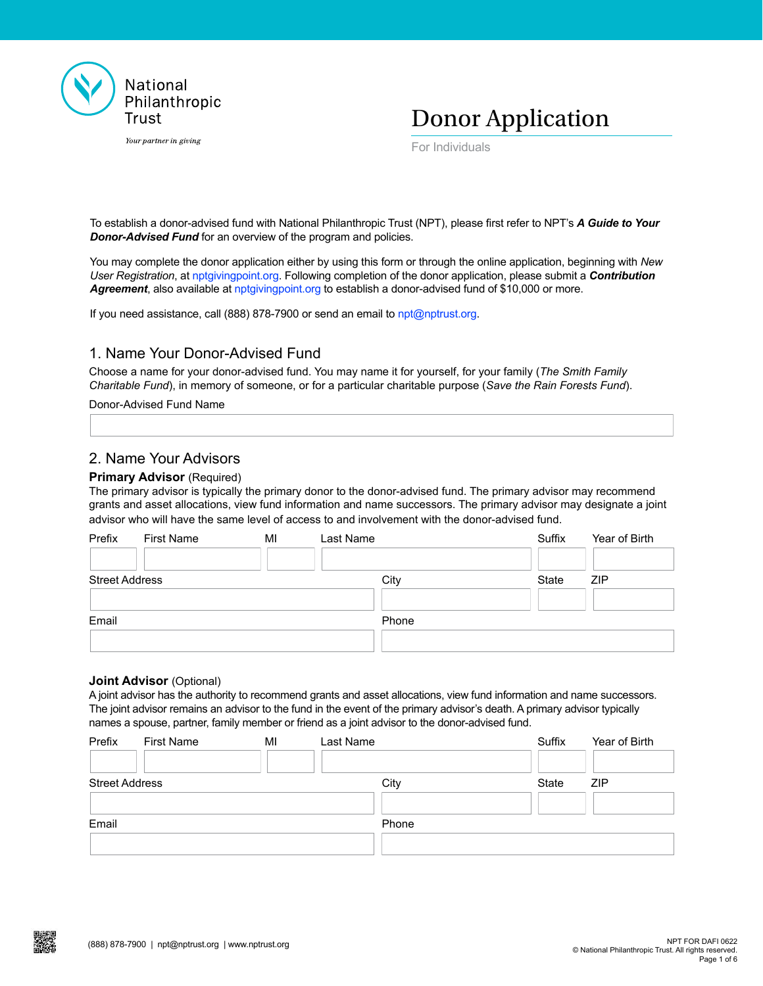

Your partner in giving

Donor Application

For Individuals

To establish a donor-advised fund with National Philanthropic Trust (NPT), please first refer to NPT's *A [Guide to Your](https://www.nptrust.org/a-guide-to-your-donor-advised-fund-npt/)  [Donor-Advised Fund](https://www.nptrust.org/a-guide-to-your-donor-advised-fund-npt/)* for an overview of the program and policies.

You may complete the donor application either by using this form or through the online application, beginning with *New User Registration*, at [nptgivingpoint.org.](http://nptgivingpoint.org) Following completion of the donor application, please submit a *Contribution Agreement*, also available at [nptgivingpoint.org](http://nptgivingpoint.org) to establish a donor-advised fund of \$10,000 or more.

If you need assistance, call (888) 878-7900 or send an email to [npt@nptrust.org.](mailto:npt%40nptrust.org?subject=)

# 1. Name Your Donor-Advised Fund

Choose a name for your donor-advised fund. You may name it for yourself, for your family (*The Smith Family Charitable Fund*), in memory of someone, or for a particular charitable purpose (*Save the Rain Forests Fund*).

Donor-Advised Fund Name

# 2. Name Your Advisors

#### **Primary Advisor (Required)**

The primary advisor is typically the primary donor to the donor-advised fund. The primary advisor may recommend grants and asset allocations, view fund information and name successors. The primary advisor may designate a joint advisor who will have the same level of access to and involvement with the donor-advised fund.

| Prefix                | First Name | MI | Last Name | Suffix | Year of Birth |
|-----------------------|------------|----|-----------|--------|---------------|
| <b>Street Address</b> |            |    | City      | State  | <b>ZIP</b>    |
| Email                 |            |    | Phone     |        |               |
|                       |            |    |           |        |               |

#### **Joint Advisor** (Optional)

A joint advisor has the authority to recommend grants and asset allocations, view fund information and name successors. The joint advisor remains an advisor to the fund in the event of the primary advisor's death. A primary advisor typically names a spouse, partner, family member or friend as a joint advisor to the donor-advised fund.

| Prefix                | First Name | MI | Last Name | Suffix | Year of Birth |
|-----------------------|------------|----|-----------|--------|---------------|
| <b>Street Address</b> |            |    | City      | State  | <b>ZIP</b>    |
| Email                 |            |    | Phone     |        |               |
|                       |            |    |           |        |               |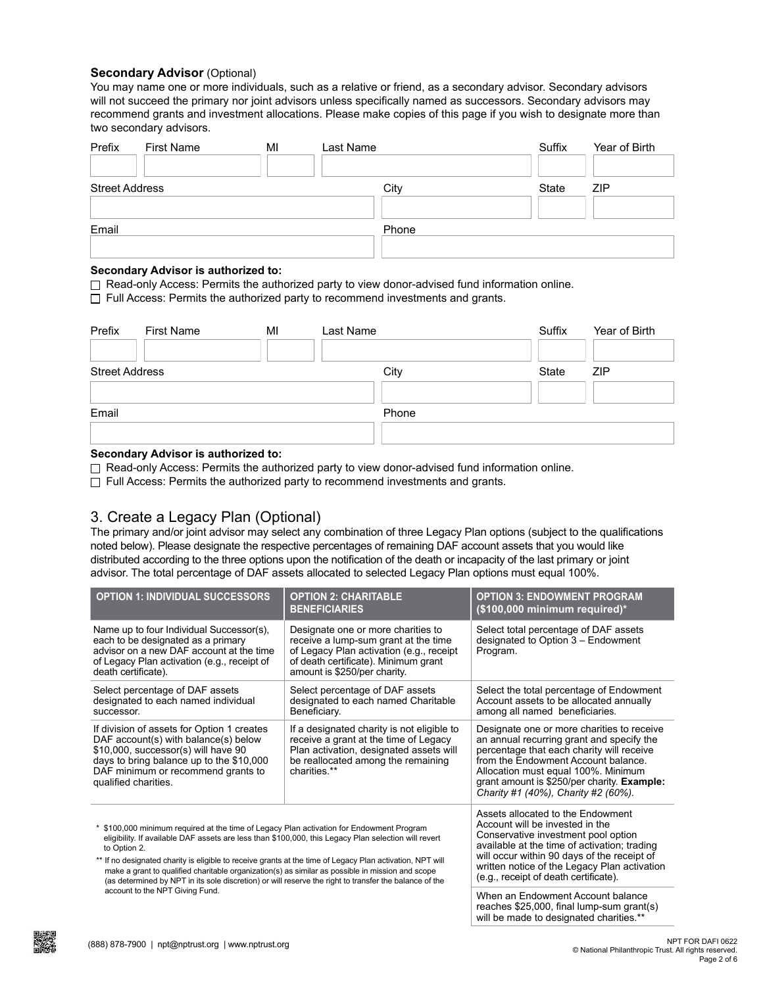#### **Secondary Advisor** (Optional)

You may name one or more individuals, such as a relative or friend, as a secondary advisor. Secondary advisors will not succeed the primary nor joint advisors unless specifically named as successors. Secondary advisors may recommend grants and investment allocations. Please make copies of this page if you wish to designate more than two secondary advisors.

| Prefix                | First Name | MI | Last Name |       | Suffix | Year of Birth |
|-----------------------|------------|----|-----------|-------|--------|---------------|
| <b>Street Address</b> |            |    |           | City  | State  | <b>ZIP</b>    |
| Email                 |            |    |           | Phone |        |               |
|                       |            |    |           |       |        |               |

#### **Secondary Advisor is authorized to:**

 $\Box$  Read-only Access: Permits the authorized party to view donor-advised fund information online.

 $\Box$  Full Access: Permits the authorized party to recommend investments and grants.

| Prefix                | <b>First Name</b> | MI | Last Name |       | Suffix | Year of Birth |
|-----------------------|-------------------|----|-----------|-------|--------|---------------|
| <b>Street Address</b> |                   |    |           | City  | State  | <b>ZIP</b>    |
| Email                 |                   |    |           | Phone |        |               |
|                       |                   |    |           |       |        |               |

#### **Secondary Advisor is authorized to:**

 $\Box$  Read-only Access: Permits the authorized party to view donor-advised fund information online.

 $\Box$  Full Access: Permits the authorized party to recommend investments and grants.

# 3. Create a Legacy Plan (Optional)

The primary and/or joint advisor may select any combination of three Legacy Plan options (subject to the qualifications noted below). Please designate the respective percentages of remaining DAF account assets that you would like distributed according to the three options upon the notification of the death or incapacity of the last primary or joint advisor. The total percentage of DAF assets allocated to selected Legacy Plan options must equal 100%.

| <b>OPTION 1: INDIVIDUAL SUCCESSORS</b>                                                                                                                                                                                                                                                                                                                                                                                                                                                                                                      | <b>OPTION 2: CHARITABLE</b><br><b>BENEFICIARIES</b>                                                                                                                                                                                                                                                 | <b>OPTION 3: ENDOWMENT PROGRAM</b><br>(\$100,000 minimum required)*                                                                                                                                                                                                                                      |
|---------------------------------------------------------------------------------------------------------------------------------------------------------------------------------------------------------------------------------------------------------------------------------------------------------------------------------------------------------------------------------------------------------------------------------------------------------------------------------------------------------------------------------------------|-----------------------------------------------------------------------------------------------------------------------------------------------------------------------------------------------------------------------------------------------------------------------------------------------------|----------------------------------------------------------------------------------------------------------------------------------------------------------------------------------------------------------------------------------------------------------------------------------------------------------|
| Name up to four Individual Successor(s),<br>each to be designated as a primary<br>advisor on a new DAF account at the time<br>of Legacy Plan activation (e.g., receipt of<br>death certificate).                                                                                                                                                                                                                                                                                                                                            | Designate one or more charities to<br>receive a lump-sum grant at the time<br>of Legacy Plan activation (e.g., receipt<br>of death certificate). Minimum grant<br>amount is \$250/per charity.                                                                                                      | Select total percentage of DAF assets<br>designated to Option 3 – Endowment<br>Program.                                                                                                                                                                                                                  |
| Select percentage of DAF assets<br>designated to each named individual<br>successor.                                                                                                                                                                                                                                                                                                                                                                                                                                                        | Select percentage of DAF assets<br>designated to each named Charitable<br>Beneficiary.                                                                                                                                                                                                              | Select the total percentage of Endowment<br>Account assets to be allocated annually<br>among all named beneficiaries.                                                                                                                                                                                    |
| If division of assets for Option 1 creates<br>DAF account(s) with balance(s) below<br>\$10,000, successor(s) will have 90<br>days to bring balance up to the \$10,000<br>DAF minimum or recommend grants to<br>qualified charities.                                                                                                                                                                                                                                                                                                         | If a designated charity is not eligible to<br>receive a grant at the time of Legacy<br>Plan activation, designated assets will<br>be reallocated among the remaining<br>charities **                                                                                                                | Designate one or more charities to receive<br>an annual recurring grant and specify the<br>percentage that each charity will receive<br>from the Endowment Account balance.<br>Allocation must equal 100%. Minimum<br>grant amount is \$250/per charity. Example:<br>Charity #1 (40%), Charity #2 (60%). |
| * \$100,000 minimum required at the time of Legacy Plan activation for Endowment Program<br>eligibility. If available DAF assets are less than \$100,000, this Legacy Plan selection will revert<br>to Option 2.<br>** If no designated charity is eligible to receive grants at the time of Legacy Plan activation, NPT will<br>make a grant to qualified charitable organization(s) as similar as possible in mission and scope<br>(as determined by NPT in its sole discretion) or will reserve the right to transfer the balance of the | Assets allocated to the Endowment<br>Account will be invested in the<br>Conservative investment pool option<br>available at the time of activation; trading<br>will occur within 90 days of the receipt of<br>written notice of the Legacy Plan activation<br>(e.g., receipt of death certificate). |                                                                                                                                                                                                                                                                                                          |
| account to the NPT Giving Fund.                                                                                                                                                                                                                                                                                                                                                                                                                                                                                                             |                                                                                                                                                                                                                                                                                                     | When an Endowment Account balance<br>reaches \$25,000, final lump-sum grant(s)<br>will be made to designated charities.**                                                                                                                                                                                |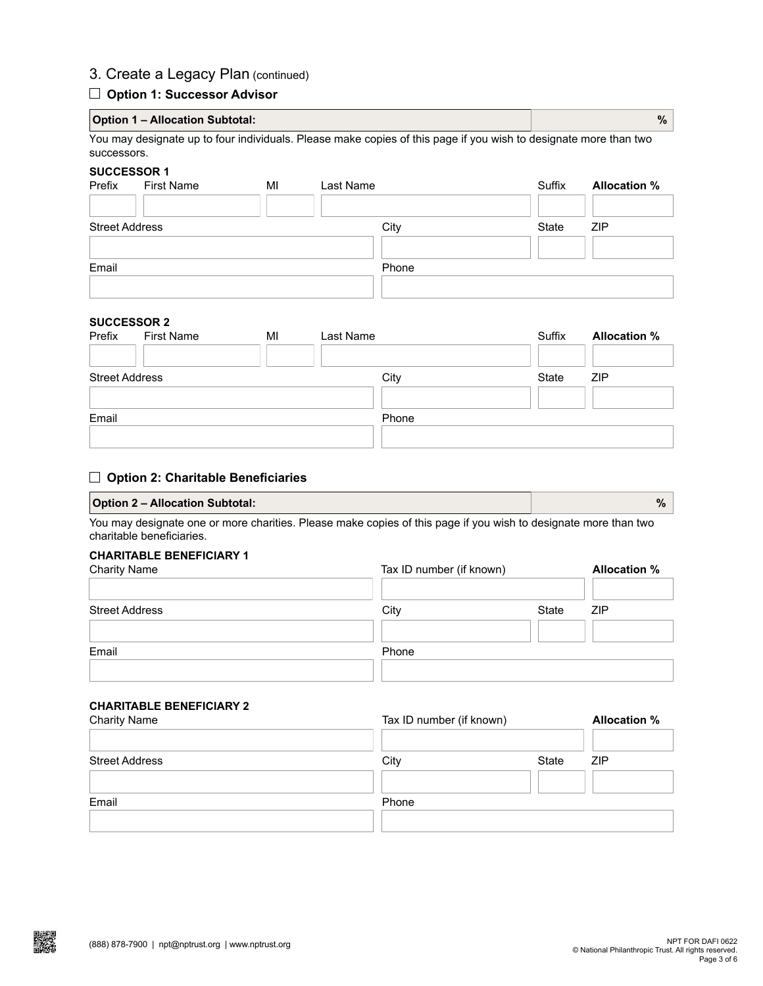# 3. Create a Legacy Plan (continued)

## **Option 1: Successor Advisor**

|                              | <b>Option 1 – Allocation Subtotal:</b>                                                                                          |   |          |  | $\%$                          |  |  |
|------------------------------|---------------------------------------------------------------------------------------------------------------------------------|---|----------|--|-------------------------------|--|--|
|                              | You may designate up to four individuals. Please make copies of this page if you wish to designate more than two<br>successors. |   |          |  |                               |  |  |
| <b>SUCCESSOR 1</b><br>Drofiv | Firet Name                                                                                                                      | M | pet Name |  | Allocation %<br>$C_{11}$ ffiv |  |  |

| Prefix                | <b>First Name</b> | MI | Last Name | Suffix | <b>Allocation %</b> |
|-----------------------|-------------------|----|-----------|--------|---------------------|
| <b>Street Address</b> |                   |    | City      | State  | ZIP                 |
| Email                 |                   |    | Phone     |        |                     |
|                       |                   |    |           |        |                     |

# **SUCCESSOR 2**

| Prefix                | <b>First Name</b> | MI | Last Name | Suffix | <b>Allocation %</b> |
|-----------------------|-------------------|----|-----------|--------|---------------------|
| <b>Street Address</b> |                   |    | City      | State  | <b>ZIP</b>          |
| Email                 |                   |    | Phone     |        |                     |
|                       |                   |    |           |        |                     |

## **Option 2: Charitable Beneficiaries**

## **Option 2 – Allocation Subtotal: %**

You may designate one or more charities. Please make copies of this page if you wish to designate more than two charitable beneficiaries.

## **CHARITABLE BENEFICIARY 1**

|       |       | <b>Allocation %</b>      |
|-------|-------|--------------------------|
| City  | State | <b>ZIP</b>               |
| Phone |       |                          |
|       |       | Tax ID number (if known) |

# **CHARITABLE BENEFICIARY 2**

|       |       | <b>Allocation %</b> |
|-------|-------|---------------------|
| City  | State | <b>ZIP</b>          |
| Phone |       |                     |
|       |       |                     |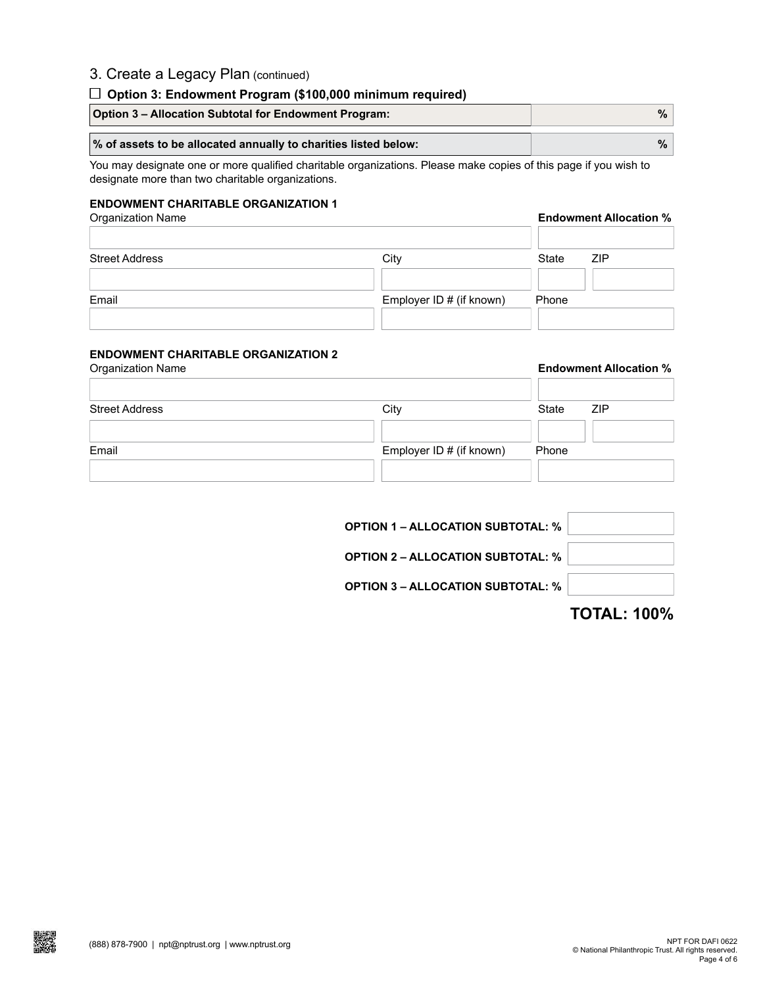# 3. Create a Legacy Plan (continued)

## **Option 3: Endowment Program (\$100,000 minimum required)**

| <b>Option 3 - Allocation Subtotal for Endowment Program:</b>    | %∣ |
|-----------------------------------------------------------------|----|
| % of assets to be allocated annually to charities listed below: | %∣ |

You may designate one or more qualified charitable organizations. Please make copies of this page if you wish to designate more than two charitable organizations.

## **ENDOWMENT CHARITABLE ORGANIZATION 1**

Organization Name **Endowment Allocation %**

| <b>Street Address</b> | City                     | State<br><b>ZIP</b> |
|-----------------------|--------------------------|---------------------|
|                       |                          |                     |
| Email                 | Employer ID # (if known) | Phone               |
|                       |                          |                     |

# **ENDOWMENT CHARITABLE ORGANIZATION 2**

|       | <b>Endowment Allocation %</b> |  |  |
|-------|-------------------------------|--|--|
| State | <b>ZIP</b>                    |  |  |
| Phone |                               |  |  |
|       | Employer ID # (if known)      |  |  |

| <b>OPTION 1 – ALLOCATION SUBTOTAL: %</b> |  |
|------------------------------------------|--|
| <b>OPTION 2 – ALLOCATION SUBTOTAL: %</b> |  |
| <b>OPTION 3 – ALLOCATION SUBTOTAL: %</b> |  |
|                                          |  |

**TOTAL: 100%**

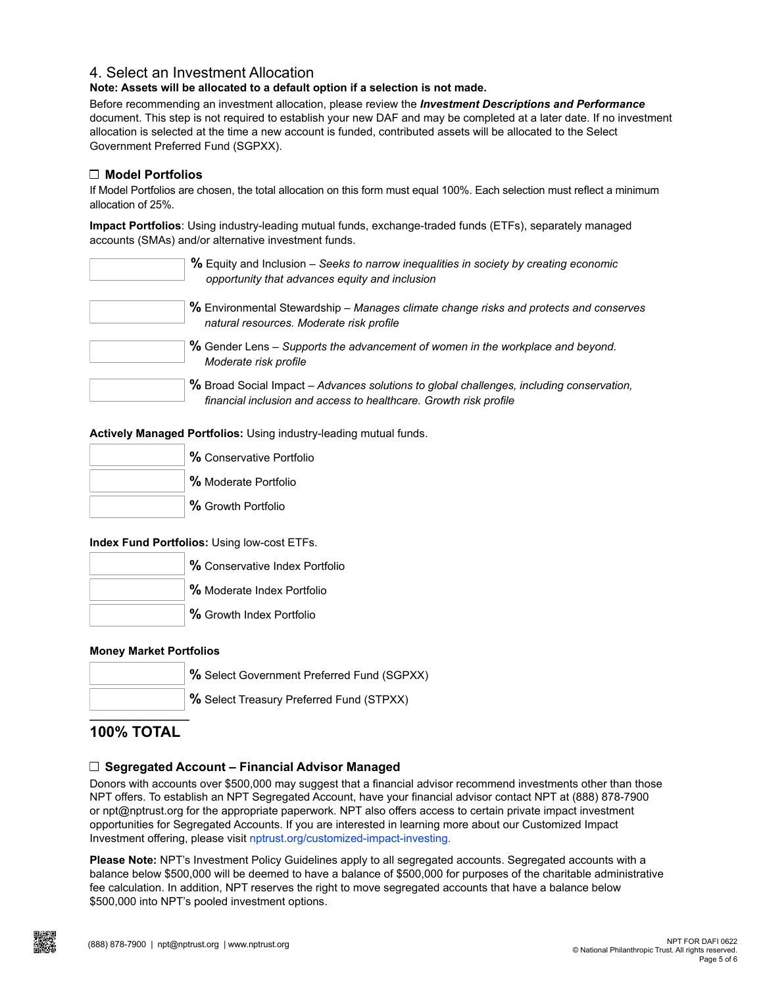# 4. Select an Investment Allocation

**Note: Assets will be allocated to a default option if a selection is not made.**

Before recommending an investment allocation, please review the *[Investment Descriptions and Performance](https://www.nptrust.org/investment-descriptions-and-performance-npt/)* document. This step is not required to establish your new DAF and may be completed at a later date. If no investment allocation is selected at the time a new account is funded, contributed assets will be allocated to the Select Government Preferred Fund (SGPXX).

## **Model Portfolios**

If Model Portfolios are chosen, the total allocation on this form must equal 100%. Each selection must reflect a minimum allocation of 25%.

**Impact Portfolios**: Using industry-leading mutual funds, exchange-traded funds (ETFs), separately managed accounts (SMAs) and/or alternative investment funds.

| % Equity and Inclusion – Seeks to narrow inequalities in society by creating economic<br>opportunity that advances equity and inclusion                       |
|---------------------------------------------------------------------------------------------------------------------------------------------------------------|
| % Environmental Stewardship - Manages climate change risks and protects and conserves<br>natural resources. Moderate risk profile                             |
| % Gender Lens – Supports the advancement of women in the workplace and beyond.<br>Moderate risk profile                                                       |
| % Broad Social Impact - Advances solutions to global challenges, including conservation,<br>financial inclusion and access to healthcare. Growth risk profile |

**Actively Managed Portfolios:** Using industry-leading mutual funds.

| % Conservative Portfolio |  |
|--------------------------|--|
| % Moderate Portfolio     |  |
| % Growth Portfolio       |  |

**Index Fund Portfolios:** Using low-cost ETFs.

| % Conservative Index Portfolio |
|--------------------------------|
| % Moderate Index Portfolio     |
| % Growth Index Portfolio       |

## **Money Market Portfolios**

|  | % Select Government Preferred Fund (SGPXX)      |
|--|-------------------------------------------------|
|  | <b>%</b> Select Treasury Preferred Fund (STPXX) |

# **\_\_\_\_\_\_\_\_\_\_\_\_\_\_\_\_ 100% TOTAL**

## **Segregated Account – Financial Advisor Managed**

Donors with accounts over \$500,000 may suggest that a financial advisor recommend investments other than those NPT offers. To establish an NPT Segregated Account, have your financial advisor contact NPT at (888) 878-7900 or npt@nptrust.org for the appropriate paperwork. NPT also offers access to certain private impact investment opportunities for Segregated Accounts. If you are interested in learning more about our Customized Impact Investment offering, please visit [nptrust.org/customized-impact-investing](http://nptrust.org/customized-impact-investing).

**Please Note:** NPT's Investment Policy Guidelines apply to all segregated accounts. Segregated accounts with a balance below \$500,000 will be deemed to have a balance of \$500,000 for purposes of the charitable administrative fee calculation. In addition, NPT reserves the right to move segregated accounts that have a balance below \$500,000 into NPT's pooled investment options.